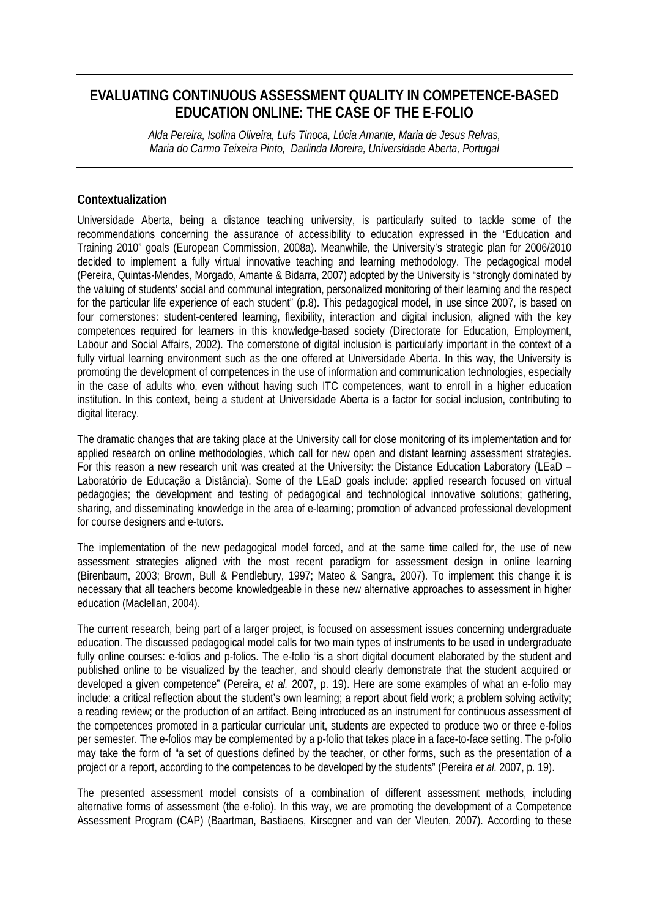# **EVALUATING CONTINUOUS ASSESSMENT QUALITY IN COMPETENCE-BASED EDUCATION ONLINE: THE CASE OF THE E-FOLIO**

*Alda Pereira, Isolina Oliveira, Luís Tinoca, Lúcia Amante, Maria de Jesus Relvas, Maria do Carmo Teixeira Pinto, Darlinda Moreira, Universidade Aberta, Portugal* 

## **Contextualization**

Universidade Aberta, being a distance teaching university, is particularly suited to tackle some of the recommendations concerning the assurance of accessibility to education expressed in the "Education and Training 2010" goals (European Commission, 2008a). Meanwhile, the University's strategic plan for 2006/2010 decided to implement a fully virtual innovative teaching and learning methodology. The pedagogical model (Pereira, Quintas-Mendes, Morgado, Amante & Bidarra, 2007) adopted by the University is "strongly dominated by the valuing of students' social and communal integration, personalized monitoring of their learning and the respect for the particular life experience of each student" (p.8). This pedagogical model, in use since 2007, is based on four cornerstones: student-centered learning, flexibility, interaction and digital inclusion, aligned with the key competences required for learners in this knowledge-based society (Directorate for Education, Employment, Labour and Social Affairs, 2002). The cornerstone of digital inclusion is particularly important in the context of a fully virtual learning environment such as the one offered at Universidade Aberta. In this way, the University is promoting the development of competences in the use of information and communication technologies, especially in the case of adults who, even without having such ITC competences, want to enroll in a higher education institution. In this context, being a student at Universidade Aberta is a factor for social inclusion, contributing to digital literacy.

The dramatic changes that are taking place at the University call for close monitoring of its implementation and for applied research on online methodologies, which call for new open and distant learning assessment strategies. For this reason a new research unit was created at the University: the Distance Education Laboratory (LEaD – Laboratório de Educação a Distância). Some of the LEaD goals include: applied research focused on virtual pedagogies; the development and testing of pedagogical and technological innovative solutions; gathering, sharing, and disseminating knowledge in the area of e-learning; promotion of advanced professional development for course designers and e-tutors.

The implementation of the new pedagogical model forced, and at the same time called for, the use of new assessment strategies aligned with the most recent paradigm for assessment design in online learning (Birenbaum, 2003; Brown, Bull & Pendlebury, 1997; Mateo & Sangra, 2007). To implement this change it is necessary that all teachers become knowledgeable in these new alternative approaches to assessment in higher education (Maclellan, 2004).

The current research, being part of a larger project, is focused on assessment issues concerning undergraduate education. The discussed pedagogical model calls for two main types of instruments to be used in undergraduate fully online courses: e-folios and p-folios. The e-folio "is a short digital document elaborated by the student and published online to be visualized by the teacher, and should clearly demonstrate that the student acquired or developed a given competence" (Pereira, *et al.* 2007, p. 19). Here are some examples of what an e-folio may include: a critical reflection about the student's own learning; a report about field work; a problem solving activity; a reading review; or the production of an artifact. Being introduced as an instrument for continuous assessment of the competences promoted in a particular curricular unit, students are expected to produce two or three e-folios per semester. The e-folios may be complemented by a p-folio that takes place in a face-to-face setting. The p-folio may take the form of "a set of questions defined by the teacher, or other forms, such as the presentation of a project or a report, according to the competences to be developed by the students" (Pereira *et al.* 2007, p. 19).

The presented assessment model consists of a combination of different assessment methods, including alternative forms of assessment (the e-folio). In this way, we are promoting the development of a Competence Assessment Program (CAP) (Baartman, Bastiaens, Kirscgner and van der Vleuten, 2007). According to these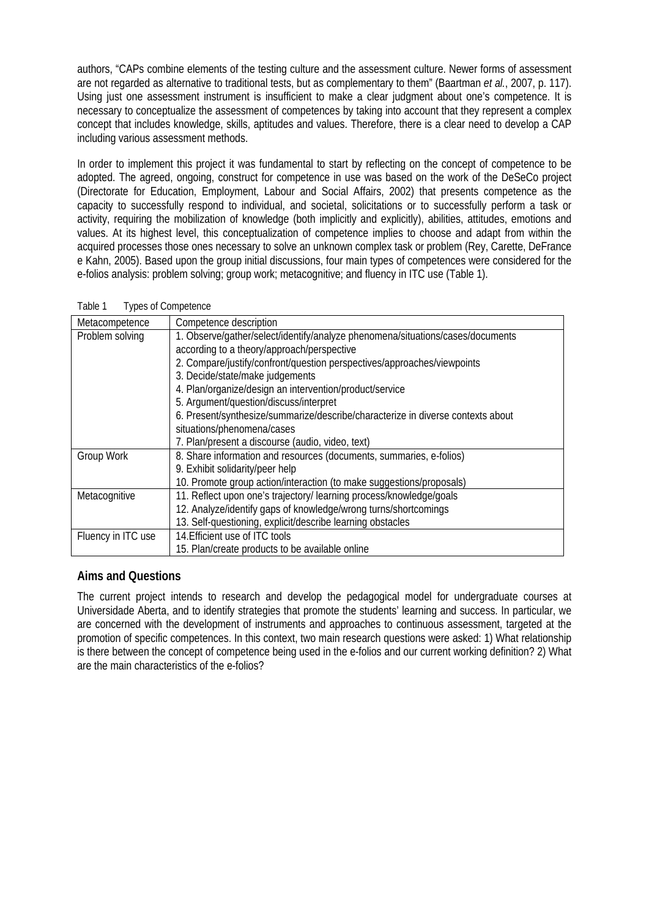authors, "CAPs combine elements of the testing culture and the assessment culture. Newer forms of assessment are not regarded as alternative to traditional tests, but as complementary to them" (Baartman *et al.*, 2007, p. 117). Using just one assessment instrument is insufficient to make a clear judgment about one's competence. It is necessary to conceptualize the assessment of competences by taking into account that they represent a complex concept that includes knowledge, skills, aptitudes and values. Therefore, there is a clear need to develop a CAP including various assessment methods.

In order to implement this project it was fundamental to start by reflecting on the concept of competence to be adopted. The agreed, ongoing, construct for competence in use was based on the work of the DeSeCo project (Directorate for Education, Employment, Labour and Social Affairs, 2002) that presents competence as the capacity to successfully respond to individual, and societal, solicitations or to successfully perform a task or activity, requiring the mobilization of knowledge (both implicitly and explicitly), abilities, attitudes, emotions and values. At its highest level, this conceptualization of competence implies to choose and adapt from within the acquired processes those ones necessary to solve an unknown complex task or problem (Rey, Carette, DeFrance e Kahn, 2005). Based upon the group initial discussions, four main types of competences were considered for the e-folios analysis: problem solving; group work; metacognitive; and fluency in ITC use (Table 1).

| Table 1 | Types of Competence |
|---------|---------------------|
|         |                     |

| Metacompetence     | Competence description                                                          |
|--------------------|---------------------------------------------------------------------------------|
| Problem solving    | 1. Observe/gather/select/identify/analyze phenomena/situations/cases/documents  |
|                    | according to a theory/approach/perspective                                      |
|                    | 2. Compare/justify/confront/question perspectives/approaches/viewpoints         |
|                    | 3. Decide/state/make judgements                                                 |
|                    | 4. Plan/organize/design an intervention/product/service                         |
|                    | 5. Argument/question/discuss/interpret                                          |
|                    | 6. Present/synthesize/summarize/describe/characterize in diverse contexts about |
|                    | situations/phenomena/cases                                                      |
|                    | 7. Plan/present a discourse (audio, video, text)                                |
| Group Work         | 8. Share information and resources (documents, summaries, e-folios)             |
|                    | 9. Exhibit solidarity/peer help                                                 |
|                    | 10. Promote group action/interaction (to make suggestions/proposals)            |
| Metacognitive      | 11. Reflect upon one's trajectory/ learning process/knowledge/goals             |
|                    | 12. Analyze/identify gaps of knowledge/wrong turns/shortcomings                 |
|                    | 13. Self-questioning, explicit/describe learning obstacles                      |
| Fluency in ITC use | 14. Efficient use of ITC tools                                                  |
|                    | 15. Plan/create products to be available online                                 |

## **Aims and Questions**

The current project intends to research and develop the pedagogical model for undergraduate courses at Universidade Aberta, and to identify strategies that promote the students' learning and success. In particular, we are concerned with the development of instruments and approaches to continuous assessment, targeted at the promotion of specific competences. In this context, two main research questions were asked: 1) What relationship is there between the concept of competence being used in the e-folios and our current working definition? 2) What are the main characteristics of the e-folios?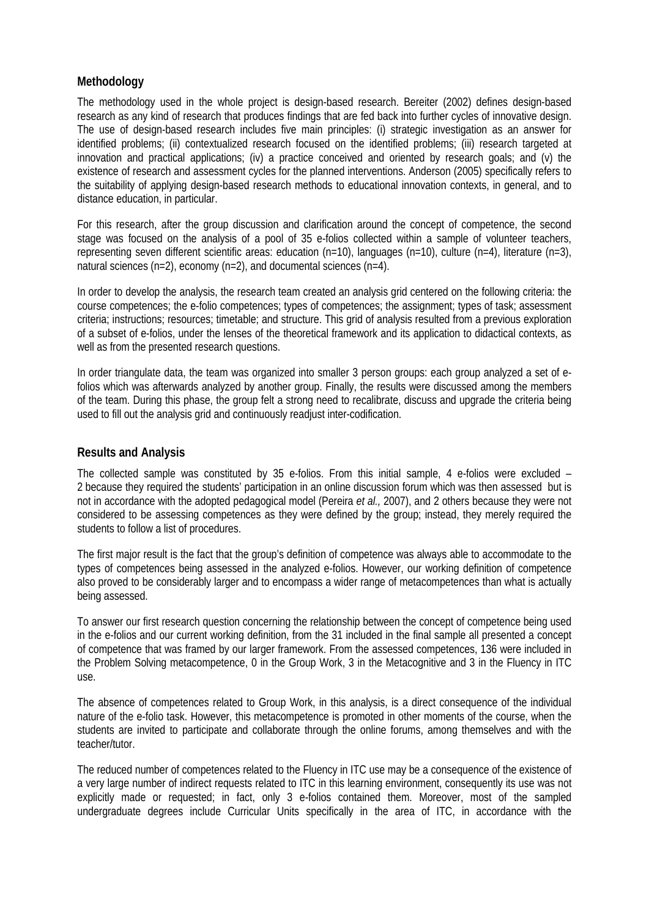## **Methodology**

The methodology used in the whole project is design-based research. Bereiter (2002) defines design-based research as any kind of research that produces findings that are fed back into further cycles of innovative design. The use of design-based research includes five main principles: (i) strategic investigation as an answer for identified problems; (ii) contextualized research focused on the identified problems; (iii) research targeted at innovation and practical applications; (iv) a practice conceived and oriented by research goals; and (v) the existence of research and assessment cycles for the planned interventions. Anderson (2005) specifically refers to the suitability of applying design-based research methods to educational innovation contexts, in general, and to distance education, in particular.

For this research, after the group discussion and clarification around the concept of competence, the second stage was focused on the analysis of a pool of 35 e-folios collected within a sample of volunteer teachers, representing seven different scientific areas: education (n=10), languages (n=10), culture (n=4), literature (n=3), natural sciences (n=2), economy (n=2), and documental sciences (n=4).

In order to develop the analysis, the research team created an analysis grid centered on the following criteria: the course competences; the e-folio competences; types of competences; the assignment; types of task; assessment criteria; instructions; resources; timetable; and structure. This grid of analysis resulted from a previous exploration of a subset of e-folios, under the lenses of the theoretical framework and its application to didactical contexts, as well as from the presented research questions.

In order triangulate data, the team was organized into smaller 3 person groups: each group analyzed a set of efolios which was afterwards analyzed by another group. Finally, the results were discussed among the members of the team. During this phase, the group felt a strong need to recalibrate, discuss and upgrade the criteria being used to fill out the analysis grid and continuously readjust inter-codification.

## **Results and Analysis**

The collected sample was constituted by 35 e-folios. From this initial sample, 4 e-folios were excluded – 2 because they required the students' participation in an online discussion forum which was then assessed but is not in accordance with the adopted pedagogical model (Pereira *et al.,* 2007), and 2 others because they were not considered to be assessing competences as they were defined by the group; instead, they merely required the students to follow a list of procedures.

The first major result is the fact that the group's definition of competence was always able to accommodate to the types of competences being assessed in the analyzed e-folios. However, our working definition of competence also proved to be considerably larger and to encompass a wider range of metacompetences than what is actually being assessed.

To answer our first research question concerning the relationship between the concept of competence being used in the e-folios and our current working definition, from the 31 included in the final sample all presented a concept of competence that was framed by our larger framework. From the assessed competences, 136 were included in the Problem Solving metacompetence, 0 in the Group Work, 3 in the Metacognitive and 3 in the Fluency in ITC use.

The absence of competences related to Group Work, in this analysis, is a direct consequence of the individual nature of the e-folio task. However, this metacompetence is promoted in other moments of the course, when the students are invited to participate and collaborate through the online forums, among themselves and with the teacher/tutor.

The reduced number of competences related to the Fluency in ITC use may be a consequence of the existence of a very large number of indirect requests related to ITC in this learning environment, consequently its use was not explicitly made or requested; in fact, only 3 e-folios contained them. Moreover, most of the sampled undergraduate degrees include Curricular Units specifically in the area of ITC, in accordance with the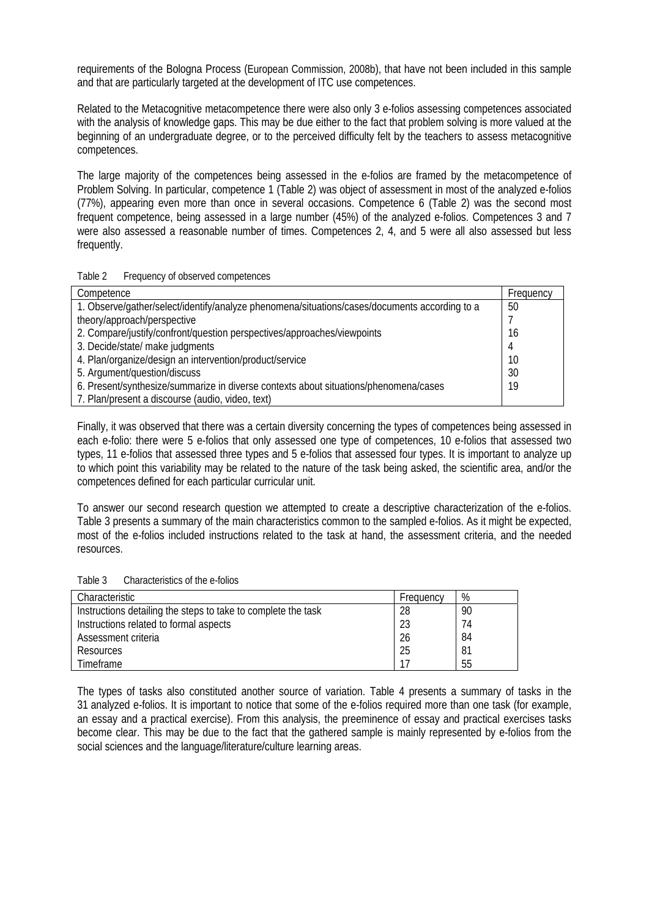requirements of the Bologna Process (European Commission, 2008b), that have not been included in this sample and that are particularly targeted at the development of ITC use competences.

Related to the Metacognitive metacompetence there were also only 3 e-folios assessing competences associated with the analysis of knowledge gaps. This may be due either to the fact that problem solving is more valued at the beginning of an undergraduate degree, or to the perceived difficulty felt by the teachers to assess metacognitive competences.

The large majority of the competences being assessed in the e-folios are framed by the metacompetence of Problem Solving. In particular, competence 1 (Table 2) was object of assessment in most of the analyzed e-folios (77%), appearing even more than once in several occasions. Competence 6 (Table 2) was the second most frequent competence, being assessed in a large number (45%) of the analyzed e-folios. Competences 3 and 7 were also assessed a reasonable number of times. Competences 2, 4, and 5 were all also assessed but less frequently.

#### Table 2 Frequency of observed competences

| Competence                                                                                    | Frequency |
|-----------------------------------------------------------------------------------------------|-----------|
| 1. Observe/gather/select/identify/analyze phenomena/situations/cases/documents according to a | 50        |
| theory/approach/perspective                                                                   |           |
| 2. Compare/justify/confront/question perspectives/approaches/viewpoints                       | 16        |
| 3. Decide/state/ make judgments                                                               | 4         |
| 4. Plan/organize/design an intervention/product/service                                       | 10        |
| 5. Argument/question/discuss                                                                  | 30        |
| 6. Present/synthesize/summarize in diverse contexts about situations/phenomena/cases          | 19        |
| 7. Plan/present a discourse (audio, video, text)                                              |           |

Finally, it was observed that there was a certain diversity concerning the types of competences being assessed in each e-folio: there were 5 e-folios that only assessed one type of competences, 10 e-folios that assessed two types, 11 e-folios that assessed three types and 5 e-folios that assessed four types. It is important to analyze up to which point this variability may be related to the nature of the task being asked, the scientific area, and/or the competences defined for each particular curricular unit.

To answer our second research question we attempted to create a descriptive characterization of the e-folios. Table 3 presents a summary of the main characteristics common to the sampled e-folios. As it might be expected, most of the e-folios included instructions related to the task at hand, the assessment criteria, and the needed resources.

Table 3 Characteristics of the e-folios

| Characteristic                                                | Frequency | %  |
|---------------------------------------------------------------|-----------|----|
| Instructions detailing the steps to take to complete the task | 28        | 90 |
| Instructions related to formal aspects                        | 23        | 74 |
| Assessment criteria                                           | 26        | 84 |
| Resources                                                     | 25        | 81 |
| <b>Timeframe</b>                                              |           | 55 |

The types of tasks also constituted another source of variation. Table 4 presents a summary of tasks in the 31 analyzed e-folios. It is important to notice that some of the e-folios required more than one task (for example, an essay and a practical exercise). From this analysis, the preeminence of essay and practical exercises tasks become clear. This may be due to the fact that the gathered sample is mainly represented by e-folios from the social sciences and the language/literature/culture learning areas.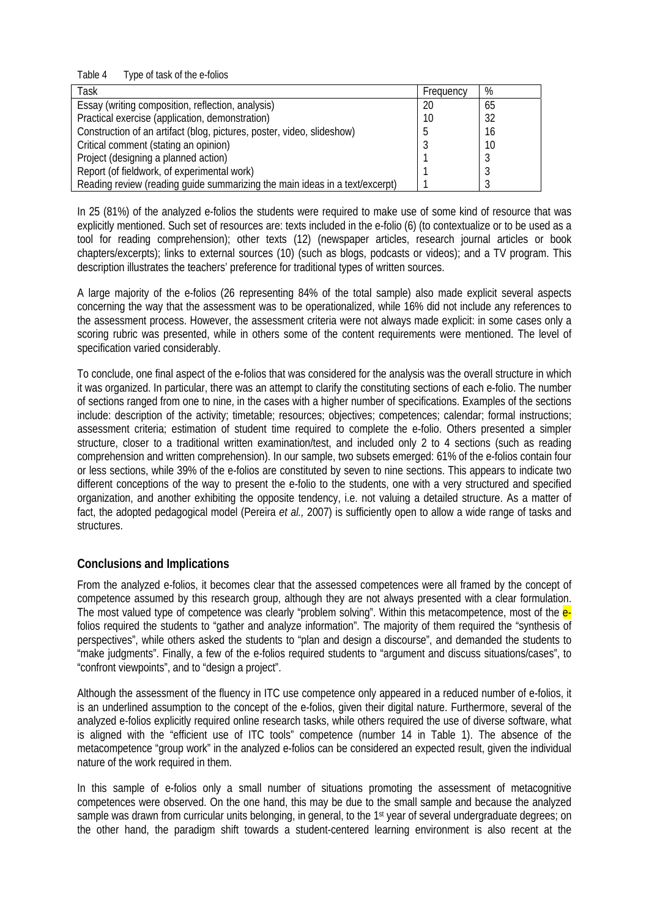Table 4 Type of task of the e-folios

| Task                                                                        | Frequency | %  |
|-----------------------------------------------------------------------------|-----------|----|
| Essay (writing composition, reflection, analysis)                           | 20        | 65 |
| Practical exercise (application, demonstration)                             |           | 32 |
| Construction of an artifact (blog, pictures, poster, video, slideshow)      |           | 16 |
| Critical comment (stating an opinion)                                       |           | 10 |
| Project (designing a planned action)                                        |           |    |
| Report (of fieldwork, of experimental work)                                 |           |    |
| Reading review (reading guide summarizing the main ideas in a text/excerpt) |           |    |

In 25 (81%) of the analyzed e-folios the students were required to make use of some kind of resource that was explicitly mentioned. Such set of resources are: texts included in the e-folio (6) (to contextualize or to be used as a tool for reading comprehension); other texts (12) (newspaper articles, research journal articles or book chapters/excerpts); links to external sources (10) (such as blogs, podcasts or videos); and a TV program. This description illustrates the teachers' preference for traditional types of written sources.

A large majority of the e-folios (26 representing 84% of the total sample) also made explicit several aspects concerning the way that the assessment was to be operationalized, while 16% did not include any references to the assessment process. However, the assessment criteria were not always made explicit: in some cases only a scoring rubric was presented, while in others some of the content requirements were mentioned. The level of specification varied considerably.

To conclude, one final aspect of the e-folios that was considered for the analysis was the overall structure in which it was organized. In particular, there was an attempt to clarify the constituting sections of each e-folio. The number of sections ranged from one to nine, in the cases with a higher number of specifications. Examples of the sections include: description of the activity; timetable; resources; objectives; competences; calendar; formal instructions; assessment criteria; estimation of student time required to complete the e-folio. Others presented a simpler structure, closer to a traditional written examination/test, and included only 2 to 4 sections (such as reading comprehension and written comprehension). In our sample, two subsets emerged: 61% of the e-folios contain four or less sections, while 39% of the e-folios are constituted by seven to nine sections. This appears to indicate two different conceptions of the way to present the e-folio to the students, one with a very structured and specified organization, and another exhibiting the opposite tendency, i.e. not valuing a detailed structure. As a matter of fact, the adopted pedagogical model (Pereira *et al.,* 2007) is sufficiently open to allow a wide range of tasks and structures.

## **Conclusions and Implications**

From the analyzed e-folios, it becomes clear that the assessed competences were all framed by the concept of competence assumed by this research group, although they are not always presented with a clear formulation. The most valued type of competence was clearly "problem solving". Within this metacompetence, most of the efolios required the students to "gather and analyze information". The majority of them required the "synthesis of perspectives", while others asked the students to "plan and design a discourse", and demanded the students to "make judgments". Finally, a few of the e-folios required students to "argument and discuss situations/cases", to "confront viewpoints", and to "design a project".

Although the assessment of the fluency in ITC use competence only appeared in a reduced number of e-folios, it is an underlined assumption to the concept of the e-folios, given their digital nature. Furthermore, several of the analyzed e-folios explicitly required online research tasks, while others required the use of diverse software, what is aligned with the "efficient use of ITC tools" competence (number 14 in Table 1). The absence of the metacompetence "group work" in the analyzed e-folios can be considered an expected result, given the individual nature of the work required in them.

In this sample of e-folios only a small number of situations promoting the assessment of metacognitive competences were observed. On the one hand, this may be due to the small sample and because the analyzed sample was drawn from curricular units belonging, in general, to the 1<sup>st</sup> year of several undergraduate degrees; on the other hand, the paradigm shift towards a student-centered learning environment is also recent at the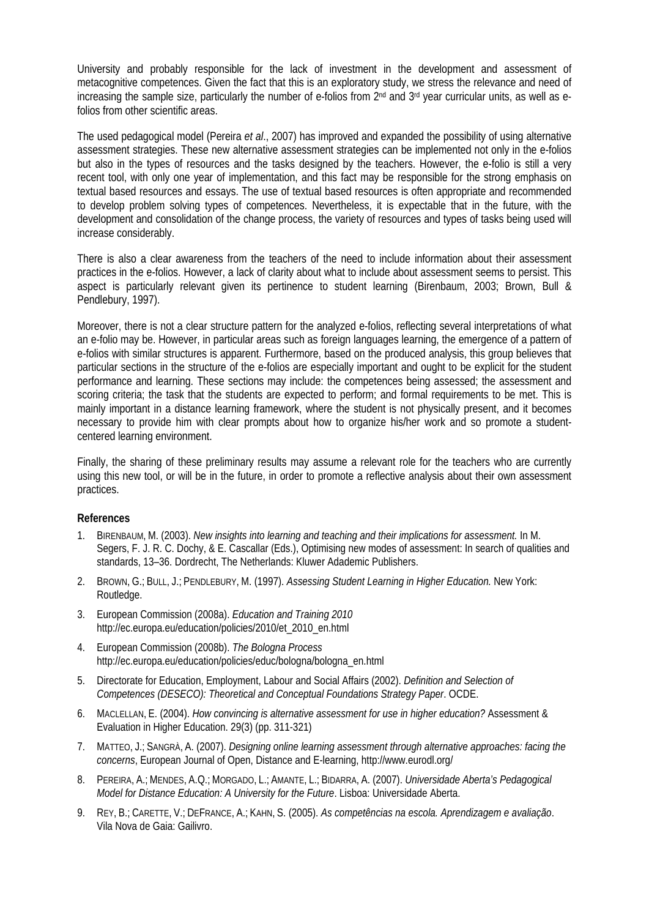University and probably responsible for the lack of investment in the development and assessment of metacognitive competences. Given the fact that this is an exploratory study, we stress the relevance and need of increasing the sample size, particularly the number of e-folios from  $2<sup>nd</sup>$  and  $3<sup>rd</sup>$  year curricular units, as well as efolios from other scientific areas.

The used pedagogical model (Pereira *et al*., 2007) has improved and expanded the possibility of using alternative assessment strategies. These new alternative assessment strategies can be implemented not only in the e-folios but also in the types of resources and the tasks designed by the teachers. However, the e-folio is still a very recent tool, with only one year of implementation, and this fact may be responsible for the strong emphasis on textual based resources and essays. The use of textual based resources is often appropriate and recommended to develop problem solving types of competences. Nevertheless, it is expectable that in the future, with the development and consolidation of the change process, the variety of resources and types of tasks being used will increase considerably.

There is also a clear awareness from the teachers of the need to include information about their assessment practices in the e-folios. However, a lack of clarity about what to include about assessment seems to persist. This aspect is particularly relevant given its pertinence to student learning (Birenbaum, 2003; Brown, Bull & Pendlebury, 1997).

Moreover, there is not a clear structure pattern for the analyzed e-folios, reflecting several interpretations of what an e-folio may be. However, in particular areas such as foreign languages learning, the emergence of a pattern of e-folios with similar structures is apparent. Furthermore, based on the produced analysis, this group believes that particular sections in the structure of the e-folios are especially important and ought to be explicit for the student performance and learning. These sections may include: the competences being assessed; the assessment and scoring criteria; the task that the students are expected to perform; and formal requirements to be met. This is mainly important in a distance learning framework, where the student is not physically present, and it becomes necessary to provide him with clear prompts about how to organize his/her work and so promote a studentcentered learning environment.

Finally, the sharing of these preliminary results may assume a relevant role for the teachers who are currently using this new tool, or will be in the future, in order to promote a reflective analysis about their own assessment practices.

#### **References**

- 1. BIRENBAUM, M. (2003). *New insights into learning and teaching and their implications for assessment.* In M. Segers, F. J. R. C. Dochy, & E. Cascallar (Eds.), Optimising new modes of assessment: In search of qualities and standards, 13–36. Dordrecht, The Netherlands: Kluwer Adademic Publishers.
- 2. BROWN, G.; BULL, J.; PENDLEBURY, M. (1997). *Assessing Student Learning in Higher Education.* New York: Routledge.
- 3. European Commission (2008a). *Education and Training 2010* http://ec.europa.eu/education/policies/2010/et\_2010\_en.html
- 4. European Commission (2008b). *The Bologna Process* http://ec.europa.eu/education/policies/educ/bologna/bologna\_en.html
- 5. Directorate for Education, Employment, Labour and Social Affairs (2002). *Definition and Selection of Competences (DESECO): Theoretical and Conceptual Foundations Strategy Paper*. OCDE.
- 6. MACLELLAN, E. (2004). *How convincing is alternative assessment for use in higher education?* Assessment & Evaluation in Higher Education. 29(3) (pp. 311-321)
- 7. MATTEO, J.; SANGRÀ, A. (2007). *Designing online learning assessment through alternative approaches: facing the concerns*, European Journal of Open, Distance and E-learning, http://www.eurodl.org/
- 8. PEREIRA, A.; MENDES, A.Q.; MORGADO, L.; AMANTE, L.; BIDARRA, A. (2007). *Universidade Aberta's Pedagogical Model for Distance Education: A University for the Future*. Lisboa: Universidade Aberta.
- 9. REY, B.; CARETTE, V.; DEFRANCE, A.; KAHN, S. (2005). *As competências na escola. Aprendizagem e avaliação*. Vila Nova de Gaia: Gailivro.